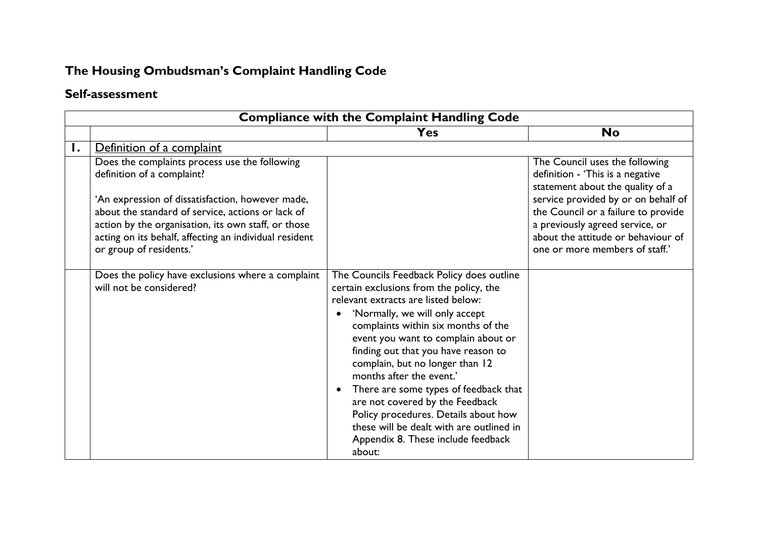## **The Housing Ombudsman's Complaint Handling Code**

## **Self-assessment**

| <b>Compliance with the Complaint Handling Code</b> |                                                                                                                                                                                                                                                                                                                                  |                                                                                                                                                                                                                                                                                                                                                                                                                                                                                                                                                                                |                                                                                                                                                                                                                                                                                                 |
|----------------------------------------------------|----------------------------------------------------------------------------------------------------------------------------------------------------------------------------------------------------------------------------------------------------------------------------------------------------------------------------------|--------------------------------------------------------------------------------------------------------------------------------------------------------------------------------------------------------------------------------------------------------------------------------------------------------------------------------------------------------------------------------------------------------------------------------------------------------------------------------------------------------------------------------------------------------------------------------|-------------------------------------------------------------------------------------------------------------------------------------------------------------------------------------------------------------------------------------------------------------------------------------------------|
|                                                    |                                                                                                                                                                                                                                                                                                                                  | <b>Yes</b>                                                                                                                                                                                                                                                                                                                                                                                                                                                                                                                                                                     | <b>No</b>                                                                                                                                                                                                                                                                                       |
| Ι.                                                 | Definition of a complaint                                                                                                                                                                                                                                                                                                        |                                                                                                                                                                                                                                                                                                                                                                                                                                                                                                                                                                                |                                                                                                                                                                                                                                                                                                 |
|                                                    | Does the complaints process use the following<br>definition of a complaint?<br>'An expression of dissatisfaction, however made,<br>about the standard of service, actions or lack of<br>action by the organisation, its own staff, or those<br>acting on its behalf, affecting an individual resident<br>or group of residents.' |                                                                                                                                                                                                                                                                                                                                                                                                                                                                                                                                                                                | The Council uses the following<br>definition - 'This is a negative<br>statement about the quality of a<br>service provided by or on behalf of<br>the Council or a failure to provide<br>a previously agreed service, or<br>about the attitude or behaviour of<br>one or more members of staff.' |
|                                                    | Does the policy have exclusions where a complaint<br>will not be considered?                                                                                                                                                                                                                                                     | The Councils Feedback Policy does outline<br>certain exclusions from the policy, the<br>relevant extracts are listed below:<br>'Normally, we will only accept<br>complaints within six months of the<br>event you want to complain about or<br>finding out that you have reason to<br>complain, but no longer than 12<br>months after the event.'<br>There are some types of feedback that<br>$\bullet$<br>are not covered by the Feedback<br>Policy procedures. Details about how<br>these will be dealt with are outlined in<br>Appendix 8. These include feedback<br>about: |                                                                                                                                                                                                                                                                                                 |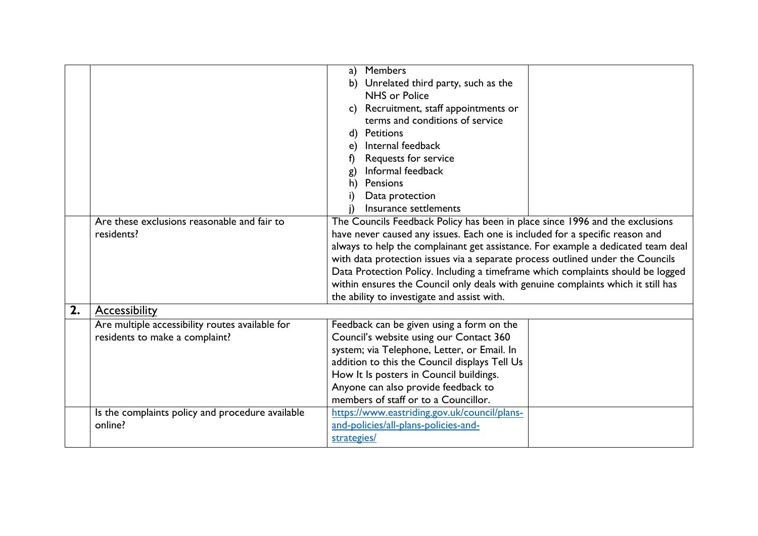|    |                                                  | <b>Members</b><br>a)                                                             |
|----|--------------------------------------------------|----------------------------------------------------------------------------------|
|    |                                                  | Unrelated third party, such as the<br>b)                                         |
|    |                                                  | NHS or Police                                                                    |
|    |                                                  | c) Recruitment, staff appointments or                                            |
|    |                                                  | terms and conditions of service                                                  |
|    |                                                  | d) Petitions                                                                     |
|    |                                                  | Internal feedback<br>e)                                                          |
|    |                                                  | Requests for service<br>f)                                                       |
|    |                                                  | Informal feedback<br>g)                                                          |
|    |                                                  | Pensions<br>h)                                                                   |
|    |                                                  | Data protection                                                                  |
|    |                                                  | Insurance settlements                                                            |
|    | Are these exclusions reasonable and fair to      | The Councils Feedback Policy has been in place since 1996 and the exclusions     |
|    | residents?                                       | have never caused any issues. Each one is included for a specific reason and     |
|    |                                                  | always to help the complainant get assistance. For example a dedicated team deal |
|    |                                                  | with data protection issues via a separate process outlined under the Councils   |
|    |                                                  | Data Protection Policy. Including a timeframe which complaints should be logged  |
|    |                                                  | within ensures the Council only deals with genuine complaints which it still has |
|    |                                                  | the ability to investigate and assist with.                                      |
| 2. | <b>Accessibility</b>                             |                                                                                  |
|    | Are multiple accessibility routes available for  | Feedback can be given using a form on the                                        |
|    | residents to make a complaint?                   | Council's website using our Contact 360                                          |
|    |                                                  | system; via Telephone, Letter, or Email. In                                      |
|    |                                                  | addition to this the Council displays Tell Us                                    |
|    |                                                  | How It Is posters in Council buildings.                                          |
|    |                                                  | Anyone can also provide feedback to                                              |
|    |                                                  | members of staff or to a Councillor.                                             |
|    | Is the complaints policy and procedure available | https://www.eastriding.gov.uk/council/plans-                                     |
|    | online?                                          | and-policies/all-plans-policies-and-                                             |
|    |                                                  | strategies/                                                                      |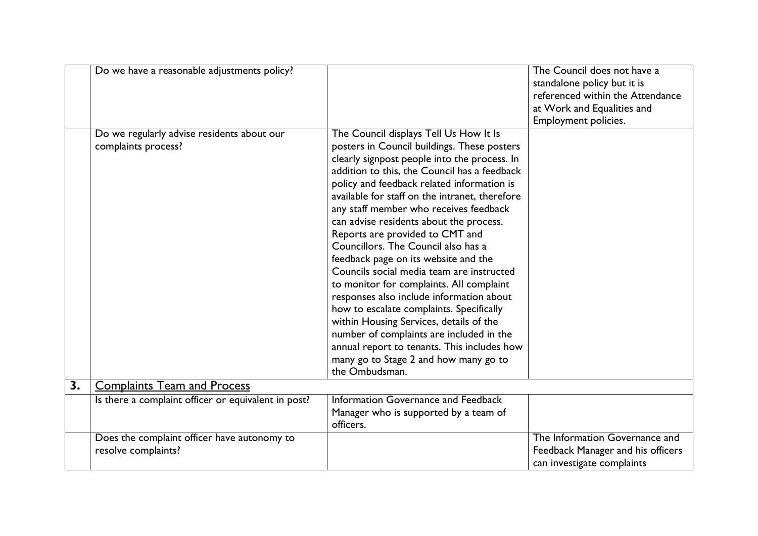|    | Do we have a reasonable adjustments policy?                        |                                                                                                                                                                                                                                                                                                                                                                                                                                                                                                                                                                                                                                                                                                                                                                                                                                                                                | The Council does not have a<br>standalone policy but it is<br>referenced within the Attendance<br>at Work and Equalities and<br>Employment policies. |
|----|--------------------------------------------------------------------|--------------------------------------------------------------------------------------------------------------------------------------------------------------------------------------------------------------------------------------------------------------------------------------------------------------------------------------------------------------------------------------------------------------------------------------------------------------------------------------------------------------------------------------------------------------------------------------------------------------------------------------------------------------------------------------------------------------------------------------------------------------------------------------------------------------------------------------------------------------------------------|------------------------------------------------------------------------------------------------------------------------------------------------------|
|    | Do we regularly advise residents about our<br>complaints process?  | The Council displays Tell Us How It Is<br>posters in Council buildings. These posters<br>clearly signpost people into the process. In<br>addition to this, the Council has a feedback<br>policy and feedback related information is<br>available for staff on the intranet, therefore<br>any staff member who receives feedback<br>can advise residents about the process.<br>Reports are provided to CMT and<br>Councillors. The Council also has a<br>feedback page on its website and the<br>Councils social media team are instructed<br>to monitor for complaints. All complaint<br>responses also include information about<br>how to escalate complaints. Specifically<br>within Housing Services, details of the<br>number of complaints are included in the<br>annual report to tenants. This includes how<br>many go to Stage 2 and how many go to<br>the Ombudsman. |                                                                                                                                                      |
| 3. | <b>Complaints Team and Process</b>                                 |                                                                                                                                                                                                                                                                                                                                                                                                                                                                                                                                                                                                                                                                                                                                                                                                                                                                                |                                                                                                                                                      |
|    | Is there a complaint officer or equivalent in post?                | Information Governance and Feedback<br>Manager who is supported by a team of<br>officers.                                                                                                                                                                                                                                                                                                                                                                                                                                                                                                                                                                                                                                                                                                                                                                                      |                                                                                                                                                      |
|    | Does the complaint officer have autonomy to<br>resolve complaints? |                                                                                                                                                                                                                                                                                                                                                                                                                                                                                                                                                                                                                                                                                                                                                                                                                                                                                | The Information Governance and<br>Feedback Manager and his officers<br>can investigate complaints                                                    |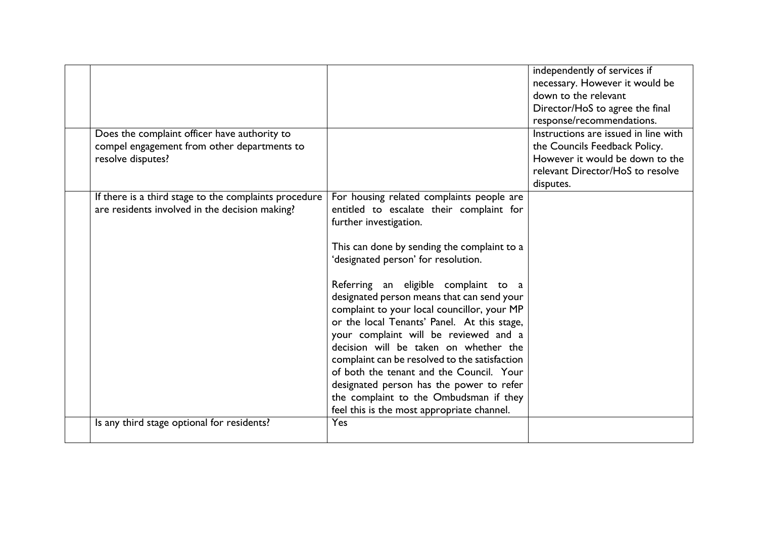| Does the complaint officer have authority to<br>compel engagement from other departments to             |                                                                                                                                                                                                                                                                                                                                                                                                                                                                                                                                                                                                                                                                                                              | independently of services if<br>necessary. However it would be<br>down to the relevant<br>Director/HoS to agree the final<br>response/recommendations.<br>Instructions are issued in line with<br>the Councils Feedback Policy. |
|---------------------------------------------------------------------------------------------------------|--------------------------------------------------------------------------------------------------------------------------------------------------------------------------------------------------------------------------------------------------------------------------------------------------------------------------------------------------------------------------------------------------------------------------------------------------------------------------------------------------------------------------------------------------------------------------------------------------------------------------------------------------------------------------------------------------------------|---------------------------------------------------------------------------------------------------------------------------------------------------------------------------------------------------------------------------------|
| resolve disputes?                                                                                       |                                                                                                                                                                                                                                                                                                                                                                                                                                                                                                                                                                                                                                                                                                              | However it would be down to the<br>relevant Director/HoS to resolve<br>disputes.                                                                                                                                                |
| If there is a third stage to the complaints procedure<br>are residents involved in the decision making? | For housing related complaints people are<br>entitled to escalate their complaint for<br>further investigation.<br>This can done by sending the complaint to a<br>'designated person' for resolution.<br>Referring an eligible complaint to a<br>designated person means that can send your<br>complaint to your local councillor, your MP<br>or the local Tenants' Panel. At this stage,<br>your complaint will be reviewed and a<br>decision will be taken on whether the<br>complaint can be resolved to the satisfaction<br>of both the tenant and the Council. Your<br>designated person has the power to refer<br>the complaint to the Ombudsman if they<br>feel this is the most appropriate channel. |                                                                                                                                                                                                                                 |
| Is any third stage optional for residents?                                                              | Yes                                                                                                                                                                                                                                                                                                                                                                                                                                                                                                                                                                                                                                                                                                          |                                                                                                                                                                                                                                 |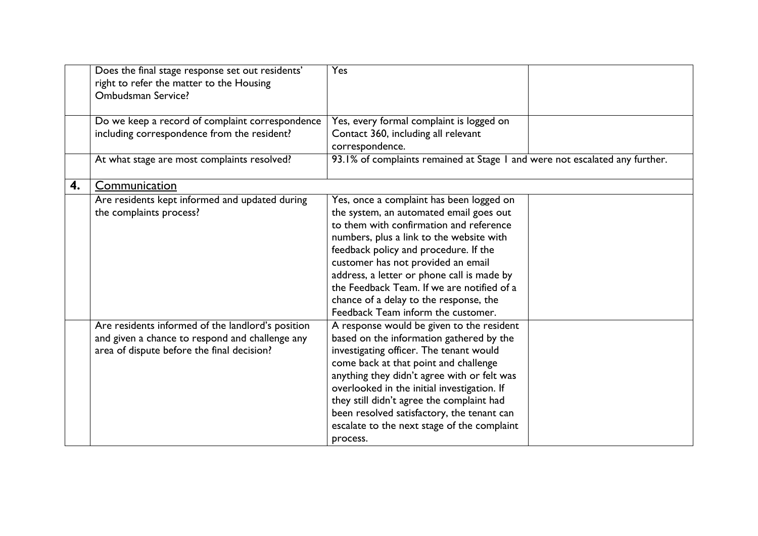|    | Does the final stage response set out residents'<br>right to refer the matter to the Housing<br>Ombudsman Service?                                 | Yes                                                                                                                                                                                                                                                                                                                                                                                                                                   |  |
|----|----------------------------------------------------------------------------------------------------------------------------------------------------|---------------------------------------------------------------------------------------------------------------------------------------------------------------------------------------------------------------------------------------------------------------------------------------------------------------------------------------------------------------------------------------------------------------------------------------|--|
|    | Do we keep a record of complaint correspondence<br>including correspondence from the resident?                                                     | Yes, every formal complaint is logged on<br>Contact 360, including all relevant<br>correspondence.                                                                                                                                                                                                                                                                                                                                    |  |
|    | At what stage are most complaints resolved?                                                                                                        | 93.1% of complaints remained at Stage 1 and were not escalated any further.                                                                                                                                                                                                                                                                                                                                                           |  |
| 4. | Communication                                                                                                                                      |                                                                                                                                                                                                                                                                                                                                                                                                                                       |  |
|    | Are residents kept informed and updated during<br>the complaints process?                                                                          | Yes, once a complaint has been logged on<br>the system, an automated email goes out<br>to them with confirmation and reference<br>numbers, plus a link to the website with<br>feedback policy and procedure. If the<br>customer has not provided an email<br>address, a letter or phone call is made by<br>the Feedback Team. If we are notified of a<br>chance of a delay to the response, the<br>Feedback Team inform the customer. |  |
|    | Are residents informed of the landlord's position<br>and given a chance to respond and challenge any<br>area of dispute before the final decision? | A response would be given to the resident<br>based on the information gathered by the<br>investigating officer. The tenant would<br>come back at that point and challenge<br>anything they didn't agree with or felt was<br>overlooked in the initial investigation. If<br>they still didn't agree the complaint had<br>been resolved satisfactory, the tenant can<br>escalate to the next stage of the complaint<br>process.         |  |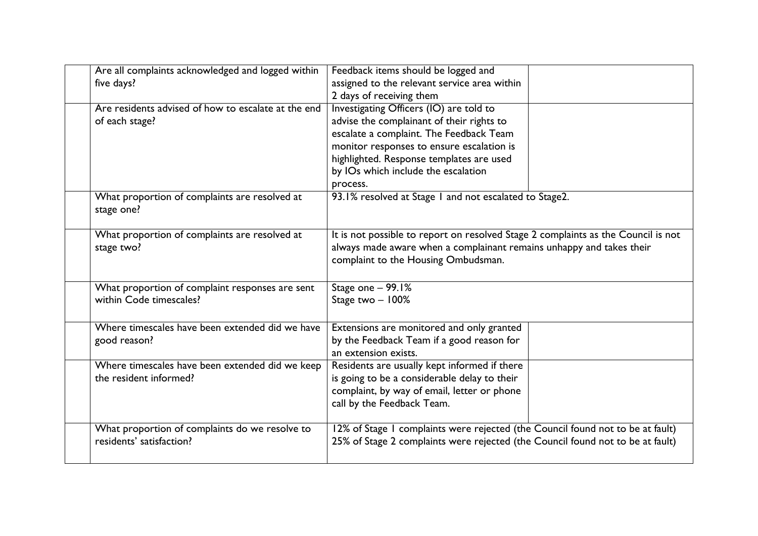| Are all complaints acknowledged and logged within<br>five days? | Feedback items should be logged and<br>assigned to the relevant service area within                                                                                                              |  |
|-----------------------------------------------------------------|--------------------------------------------------------------------------------------------------------------------------------------------------------------------------------------------------|--|
|                                                                 | 2 days of receiving them                                                                                                                                                                         |  |
| Are residents advised of how to escalate at the end             | Investigating Officers (IO) are told to                                                                                                                                                          |  |
| of each stage?                                                  | advise the complainant of their rights to                                                                                                                                                        |  |
|                                                                 | escalate a complaint. The Feedback Team                                                                                                                                                          |  |
|                                                                 | monitor responses to ensure escalation is                                                                                                                                                        |  |
|                                                                 | highlighted. Response templates are used                                                                                                                                                         |  |
|                                                                 | by IOs which include the escalation                                                                                                                                                              |  |
|                                                                 | process.                                                                                                                                                                                         |  |
| What proportion of complaints are resolved at<br>stage one?     | 93.1% resolved at Stage 1 and not escalated to Stage2.                                                                                                                                           |  |
| What proportion of complaints are resolved at<br>stage two?     | It is not possible to report on resolved Stage 2 complaints as the Council is not<br>always made aware when a complainant remains unhappy and takes their<br>complaint to the Housing Ombudsman. |  |
| What proportion of complaint responses are sent                 | Stage one - 99.1%                                                                                                                                                                                |  |
| within Code timescales?                                         | Stage two - 100%                                                                                                                                                                                 |  |
|                                                                 |                                                                                                                                                                                                  |  |
| Where timescales have been extended did we have                 | Extensions are monitored and only granted                                                                                                                                                        |  |
| good reason?                                                    | by the Feedback Team if a good reason for                                                                                                                                                        |  |
|                                                                 | an extension exists.                                                                                                                                                                             |  |
| Where timescales have been extended did we keep                 | Residents are usually kept informed if there                                                                                                                                                     |  |
| the resident informed?                                          | is going to be a considerable delay to their                                                                                                                                                     |  |
|                                                                 | complaint, by way of email, letter or phone                                                                                                                                                      |  |
|                                                                 | call by the Feedback Team.                                                                                                                                                                       |  |
| What proportion of complaints do we resolve to                  | 12% of Stage I complaints were rejected (the Council found not to be at fault)                                                                                                                   |  |
| residents' satisfaction?                                        | 25% of Stage 2 complaints were rejected (the Council found not to be at fault)                                                                                                                   |  |
|                                                                 |                                                                                                                                                                                                  |  |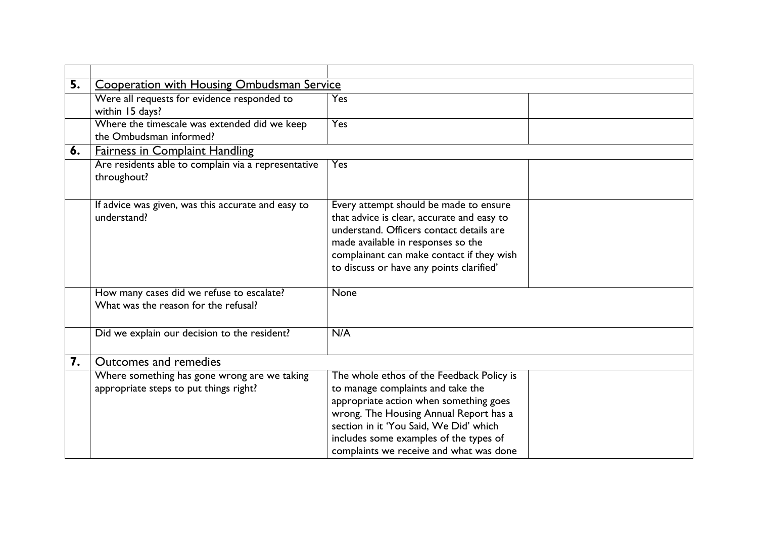| 5. | <b>Cooperation with Housing Ombudsman Service</b>                                      |                                                                                                                                                                                                                                                                                                   |
|----|----------------------------------------------------------------------------------------|---------------------------------------------------------------------------------------------------------------------------------------------------------------------------------------------------------------------------------------------------------------------------------------------------|
|    | Were all requests for evidence responded to<br>within 15 days?                         | Yes                                                                                                                                                                                                                                                                                               |
|    | Where the timescale was extended did we keep<br>the Ombudsman informed?                | <b>Yes</b>                                                                                                                                                                                                                                                                                        |
| 6. | <b>Fairness in Complaint Handling</b>                                                  |                                                                                                                                                                                                                                                                                                   |
|    | Are residents able to complain via a representative<br>throughout?                     | Yes                                                                                                                                                                                                                                                                                               |
|    | If advice was given, was this accurate and easy to<br>understand?                      | Every attempt should be made to ensure<br>that advice is clear, accurate and easy to<br>understand. Officers contact details are<br>made available in responses so the<br>complainant can make contact if they wish<br>to discuss or have any points clarified'                                   |
|    | How many cases did we refuse to escalate?<br>What was the reason for the refusal?      | None                                                                                                                                                                                                                                                                                              |
|    | Did we explain our decision to the resident?                                           | N/A                                                                                                                                                                                                                                                                                               |
| 7. | Outcomes and remedies                                                                  |                                                                                                                                                                                                                                                                                                   |
|    | Where something has gone wrong are we taking<br>appropriate steps to put things right? | The whole ethos of the Feedback Policy is<br>to manage complaints and take the<br>appropriate action when something goes<br>wrong. The Housing Annual Report has a<br>section in it 'You Said, We Did' which<br>includes some examples of the types of<br>complaints we receive and what was done |